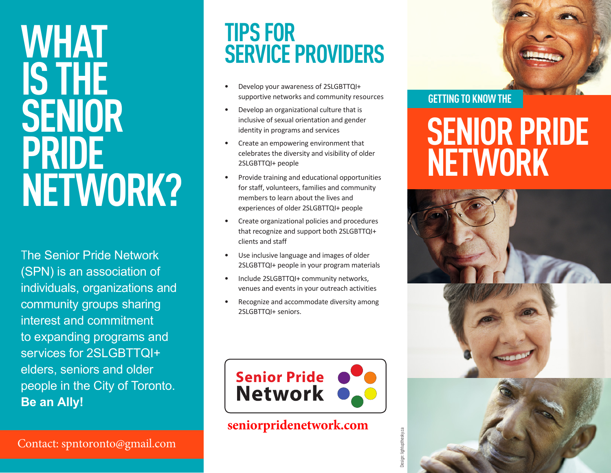# **WHAT IS THE SENIOR PRIDE NETWORK?**

The Senior Pride Network (SPN) is an association of individuals, organizations and community groups sharing interest and commitment to expanding programs and services for 2SLGBTTQI+ elders, seniors and older people in the City of Toronto. **Be an Ally!**

Contact: spntoronto@gmail.com

## **TIPS FOR SERVICE PROVIDERS**

- Develop your awareness of 2SLGBTTQI+ supportive networks and community resources
- Develop an organizational culture that is inclusive of sexual orientation, gender identity and gender expression in programs and services
- Create an empowering environment that celebrates the diversity and visibility of older 2SLGBTTQI+ people
- Provide training and educational opportunities for staff, volunteers, families and community members to learn about the lives and experiences of older 2SLGBTTQI+ people
- Create organizational policies and procedures that recognize and support both 2SLGBTTQI+ clients and staff
- Use inclusive language and images of older 2SLGBTTQI+ people in your program materials
- Include 2SLGBTTQI+ community networks, venues and events in your outreach activities
- Recognize and accommodate diversity among 2SLGBTTQI+ seniors.



### **seniorpridenetwork.com**

#### **GETTING TO KNOW THE**

# **SENIOR PRIDE NETWORK**



esign: lightupthesky.ca Design: lightupthesky.ca